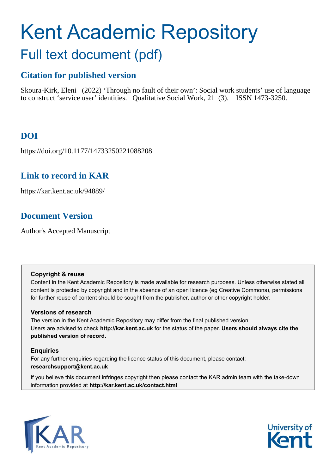# Kent Academic Repository Full text document (pdf)

## **Citation for published version**

Skoura-Kirk, Eleni (2022) 'Through no fault of their own': Social work students' use of language to construct 'service user' identities. Qualitative Social Work, 21 (3). ISSN 1473-3250.

## **DOI**

https://doi.org/10.1177/14733250221088208

### **Link to record in KAR**

https://kar.kent.ac.uk/94889/

## **Document Version**

Author's Accepted Manuscript

#### **Copyright & reuse**

Content in the Kent Academic Repository is made available for research purposes. Unless otherwise stated all content is protected by copyright and in the absence of an open licence (eg Creative Commons), permissions for further reuse of content should be sought from the publisher, author or other copyright holder.

#### **Versions of research**

The version in the Kent Academic Repository may differ from the final published version. Users are advised to check **http://kar.kent.ac.uk** for the status of the paper. **Users should always cite the published version of record.**

#### **Enquiries**

For any further enquiries regarding the licence status of this document, please contact: **researchsupport@kent.ac.uk**

If you believe this document infringes copyright then please contact the KAR admin team with the take-down information provided at **http://kar.kent.ac.uk/contact.html**



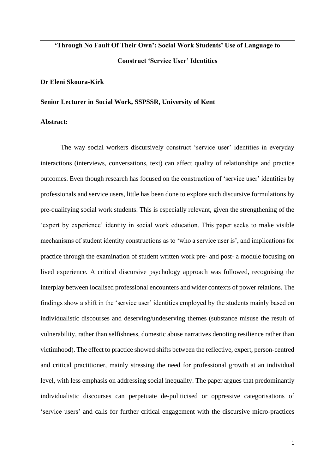## **'Through No Fault Of Their Own': Social Work Students' Use of Language to Construct 'Service User' Identities**

#### **Dr Eleni Skoura-Kirk**

#### **Senior Lecturer in Social Work, SSPSSR, University of Kent**

#### **Abstract:**

The way social workers discursively construct 'service user' identities in everyday interactions (interviews, conversations, text) can affect quality of relationships and practice outcomes. Even though research has focused on the construction of 'service user' identities by professionals and service users, little has been done to explore such discursive formulations by pre-qualifying social work students. This is especially relevant, given the strengthening of the 'expert by experience' identity in social work education. This paper seeks to make visible mechanisms of student identity constructions as to 'who a service user is', and implications for practice through the examination of student written work pre- and post- a module focusing on lived experience. A critical discursive psychology approach was followed, recognising the interplay between localised professional encounters and wider contexts of power relations. The findings show a shift in the 'service user' identities employed by the students mainly based on individualistic discourses and deserving/undeserving themes (substance misuse the result of vulnerability, rather than selfishness, domestic abuse narratives denoting resilience rather than victimhood). The effect to practice showed shifts between the reflective, expert, person-centred and critical practitioner, mainly stressing the need for professional growth at an individual level, with less emphasis on addressing social inequality. The paper argues that predominantly individualistic discourses can perpetuate de-politicised or oppressive categorisations of 'service users' and calls for further critical engagement with the discursive micro-practices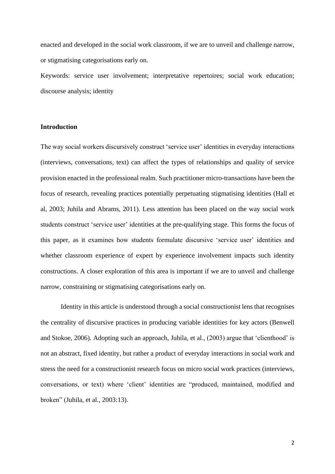enacted and developed in the social work classroom, if we are to unveil and challenge narrow, or stigmatising categorisations early on.

Keywords: service user involvement; interpretative repertoires; social work education; discourse analysis; identity

#### **Introduction**

The way social workers discursively construct 'service user' identities in everyday interactions (interviews, conversations, text) can affect the types of relationships and quality of service provision enacted in the professional realm. Such practitioner micro-transactions have been the focus of research, revealing practices potentially perpetuating stigmatising identities (Hall et al, 2003; Juhila and Abrams, 2011). Less attention has been placed on the way social work students construct 'service user' identities at the pre-qualifying stage. This forms the focus of this paper, as it examines how students formulate discursive 'service user' identities and whether classroom experience of expert by experience involvement impacts such identity constructions. A closer exploration of this area is important if we are to unveil and challenge narrow, constraining or stigmatising categorisations early on.

Identity in this article is understood through a social constructionist lens that recognises the centrality of discursive practices in producing variable identities for key actors (Benwell and Stokoe, 2006). Adopting such an approach, Juhila, et al., (2003) argue that 'clienthood' is not an abstract, fixed identity, but rather a product of everyday interactions in social work and stress the need for a constructionist research focus on micro social work practices (interviews, conversations, or text) where 'client' identities are "produced, maintained, modified and broken" (Juhila, et al., 2003:13).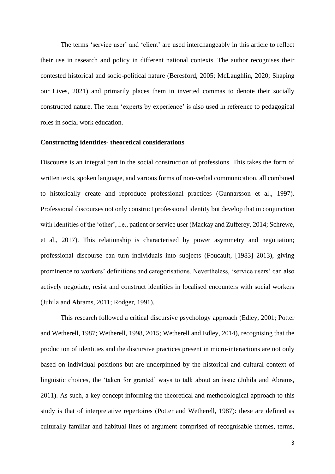The terms 'service user' and 'client' are used interchangeably in this article to reflect their use in research and policy in different national contexts. The author recognises their contested historical and socio-political nature (Beresford, 2005; McLaughlin, 2020; Shaping our Lives, 2021) and primarily places them in inverted commas to denote their socially constructed nature. The term 'experts by experience' is also used in reference to pedagogical roles in social work education.

#### **Constructing identities- theoretical considerations**

Discourse is an integral part in the social construction of professions. This takes the form of written texts, spoken language, and various forms of non-verbal communication, all combined to historically create and reproduce professional practices (Gunnarsson et al., 1997). Professional discourses not only construct professional identity but develop that in conjunction with identities of the 'other', i.e., patient or service user (Mackay and Zufferey, 2014; Schrewe, et al., 2017). This relationship is characterised by power asymmetry and negotiation; professional discourse can turn individuals into subjects (Foucault, [1983] 2013), giving prominence to workers' definitions and categorisations. Nevertheless, 'service users' can also actively negotiate, resist and construct identities in localised encounters with social workers (Juhila and Abrams, 2011; Rodger, 1991).

This research followed a critical discursive psychology approach (Edley, 2001; Potter and Wetherell, 1987; Wetherell, 1998, 2015; Wetherell and Edley, 2014), recognising that the production of identities and the discursive practices present in micro-interactions are not only based on individual positions but are underpinned by the historical and cultural context of linguistic choices, the 'taken for granted' ways to talk about an issue (Juhila and Abrams, 2011). As such, a key concept informing the theoretical and methodological approach to this study is that of interpretative repertoires (Potter and Wetherell, 1987): these are defined as culturally familiar and habitual lines of argument comprised of recognisable themes, terms,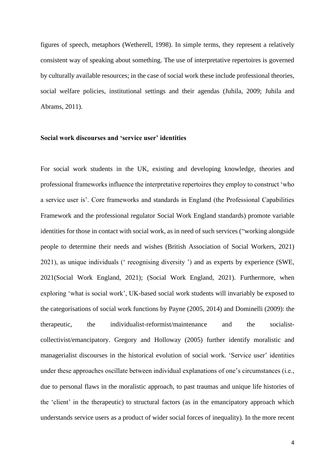figures of speech, metaphors (Wetherell, 1998). In simple terms, they represent a relatively consistent way of speaking about something. The use of interpretative repertoires is governed by culturally available resources; in the case of social work these include professional theories, social welfare policies, institutional settings and their agendas (Juhila, 2009; Juhila and Abrams, 2011).

#### **Social work discourses and 'service user' identities**

For social work students in the UK, existing and developing knowledge, theories and professional frameworks influence the interpretative repertoires they employ to construct 'who a service user is'. Core frameworks and standards in England (the Professional Capabilities Framework and the professional regulator Social Work England standards) promote variable identities for those in contact with social work, as in need of such services ("working alongside people to determine their needs and wishes (British Association of Social Workers, 2021) 2021), as unique individuals (' recognising diversity ') and as experts by experience (SWE, 2021(Social Work England, 2021); (Social Work England, 2021). Furthermore, when exploring 'what is social work', UK-based social work students will invariably be exposed to the categorisations of social work functions by Payne (2005, 2014) and Dominelli (2009): the therapeutic, the individualist-reformist/maintenance and the socialistcollectivist/emancipatory. Gregory and Holloway (2005) further identify moralistic and managerialist discourses in the historical evolution of social work. 'Service user' identities under these approaches oscillate between individual explanations of one's circumstances (i.e., due to personal flaws in the moralistic approach, to past traumas and unique life histories of the 'client' in the therapeutic) to structural factors (as in the emancipatory approach which understands service users as a product of wider social forces of inequality). In the more recent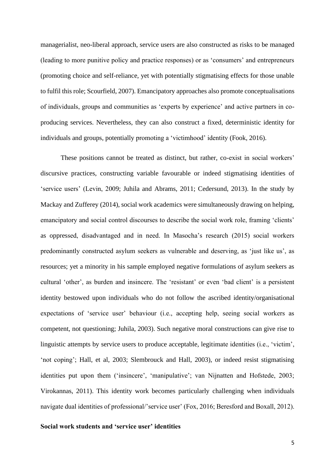managerialist, neo-liberal approach, service users are also constructed as risks to be managed (leading to more punitive policy and practice responses) or as 'consumers' and entrepreneurs (promoting choice and self-reliance, yet with potentially stigmatising effects for those unable to fulfil this role; Scourfield, 2007). Emancipatory approaches also promote conceptualisations of individuals, groups and communities as 'experts by experience' and active partners in coproducing services. Nevertheless, they can also construct a fixed, deterministic identity for individuals and groups, potentially promoting a 'victimhood' identity (Fook, 2016).

These positions cannot be treated as distinct, but rather, co-exist in social workers' discursive practices, constructing variable favourable or indeed stigmatising identities of 'service users' (Levin, 2009; Juhila and Abrams, 2011; Cedersund, 2013). In the study by Mackay and Zufferey (2014), social work academics were simultaneously drawing on helping, emancipatory and social control discourses to describe the social work role, framing 'clients' as oppressed, disadvantaged and in need. In Masocha's research (2015) social workers predominantly constructed asylum seekers as vulnerable and deserving, as 'just like us', as resources; yet a minority in his sample employed negative formulations of asylum seekers as cultural 'other', as burden and insincere. The 'resistant' or even 'bad client' is a persistent identity bestowed upon individuals who do not follow the ascribed identity/organisational expectations of 'service user' behaviour (i.e., accepting help, seeing social workers as competent, not questioning; Juhila, 2003). Such negative moral constructions can give rise to linguistic attempts by service users to produce acceptable, legitimate identities (i.e., 'victim', 'not coping'; Hall, et al, 2003; Slembrouck and Hall, 2003), or indeed resist stigmatising identities put upon them ('insincere', 'manipulative'; van Nijnatten and Hofstede, 2003; Virokannas, 2011). This identity work becomes particularly challenging when individuals navigate dual identities of professional/'service user' (Fox, 2016; Beresford and Boxall, 2012).

#### **Social work students and 'service user' identities**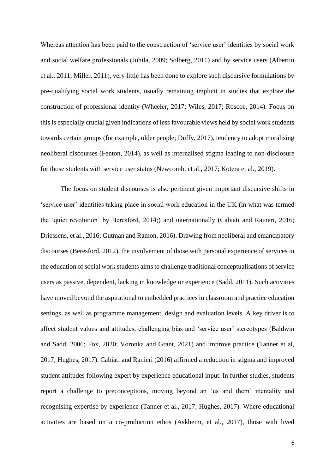Whereas attention has been paid to the construction of 'service user' identities by social work and social welfare professionals (Juhila, 2009; Solberg, 2011) and by service users (Albertin et al., 2011; Miller, 2011), very little has been done to explore such discursive formulations by pre-qualifying social work students, usually remaining implicit in studies that explore the construction of professional identity (Wheeler, 2017; Wiles, 2017; Roscoe, 2014). Focus on this is especially crucial given indications of less favourable views held by social work students towards certain groups (for example, older people; Duffy, 2017), tendency to adopt moralising neoliberal discourses (Fenton, 2014), as well as internalised stigma leading to non-disclosure for those students with service user status (Newcomb, et al., 2017; Kotera et al., 2019).

The focus on student discourses is also pertinent given important discursive shifts in 'service user' identities taking place in social work education in the UK (in what was termed the 'quiet revolution' by Beresford, 2014;) and internationally (Cabiati and Raineri, 2016; Driessens, et al., 2016; Gutman and Ramon, 2016). Drawing from neoliberal and emancipatory discourses (Beresford, 2012), the involvement of those with personal experience of services in the education of social work students aims to challenge traditional conceptualisations of service users as passive, dependent, lacking in knowledge or experience (Sadd, 2011). Such activities have moved beyond the aspirational to embedded practices in classroom and practice education settings, as well as programme management, design and evaluation levels. A key driver is to affect student values and attitudes, challenging bias and 'service user' stereotypes (Baldwin and Sadd, 2006; Fox, 2020; Voronka and Grant, 2021) and improve practice (Tanner et al, 2017; Hughes, 2017). Cabiati and Ranieri (2016) affirmed a reduction in stigma and improved student attitudes following expert by experience educational input. In further studies, students report a challenge to preconceptions, moving beyond an 'us and them' mentality and recognising expertise by experience (Tanner et al., 2017; Hughes, 2017). Where educational activities are based on a co-production ethos (Askheim, et al., 2017), those with lived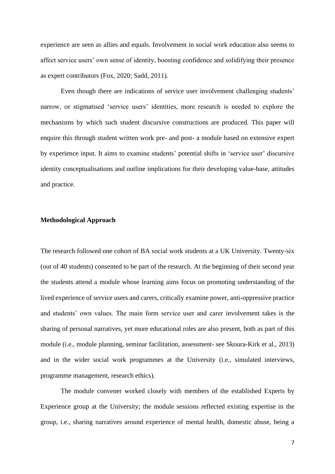experience are seen as allies and equals. Involvement in social work education also seems to affect service users' own sense of identity, boosting confidence and solidifying their presence as expert contributors (Fox, 2020; Sadd, 2011).

Even though there are indications of service user involvement challenging students' narrow, or stigmatised 'service users' identities, more research is needed to explore the mechanisms by which such student discursive constructions are produced. This paper will enquire this through student written work pre- and post- a module based on extensive expert by experience input. It aims to examine students' potential shifts in 'service user' discursive identity conceptualisations and outline implications for their developing value-base, attitudes and practice.

#### **Methodological Approach**

The research followed one cohort of BA social work students at a UK University. Twenty-six (out of 40 students) consented to be part of the research. At the beginning of their second year the students attend a module whose learning aims focus on promoting understanding of the lived experience of service users and carers, critically examine power, anti-oppressive practice and students' own values. The main form service user and carer involvement takes is the sharing of personal narratives, yet more educational roles are also present, both as part of this module (i.e., module planning, seminar facilitation, assessment- see Skoura-Kirk et al., 2013) and in the wider social work programmes at the University (i.e., simulated interviews, programme management, research ethics).

The module convener worked closely with members of the established Experts by Experience group at the University; the module sessions reflected existing expertise in the group, i.e., sharing narratives around experience of mental health, domestic abuse, being a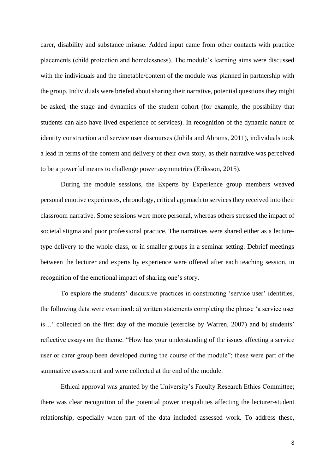carer, disability and substance misuse. Added input came from other contacts with practice placements (child protection and homelessness). The module's learning aims were discussed with the individuals and the timetable/content of the module was planned in partnership with the group. Individuals were briefed about sharing their narrative, potential questions they might be asked, the stage and dynamics of the student cohort (for example, the possibility that students can also have lived experience of services). In recognition of the dynamic nature of identity construction and service user discourses (Juhila and Abrams, 2011), individuals took a lead in terms of the content and delivery of their own story, as their narrative was perceived to be a powerful means to challenge power asymmetries (Eriksson, 2015).

During the module sessions, the Experts by Experience group members weaved personal emotive experiences, chronology, critical approach to services they received into their classroom narrative. Some sessions were more personal, whereas others stressed the impact of societal stigma and poor professional practice. The narratives were shared either as a lecturetype delivery to the whole class, or in smaller groups in a seminar setting. Debrief meetings between the lecturer and experts by experience were offered after each teaching session, in recognition of the emotional impact of sharing one's story.

To explore the students' discursive practices in constructing 'service user' identities, the following data were examined: a) written statements completing the phrase 'a service user is…' collected on the first day of the module (exercise by Warren, 2007) and b) students' reflective essays on the theme: "How has your understanding of the issues affecting a service user or carer group been developed during the course of the module"; these were part of the summative assessment and were collected at the end of the module.

Ethical approval was granted by the University's Faculty Research Ethics Committee; there was clear recognition of the potential power inequalities affecting the lecturer-student relationship, especially when part of the data included assessed work. To address these,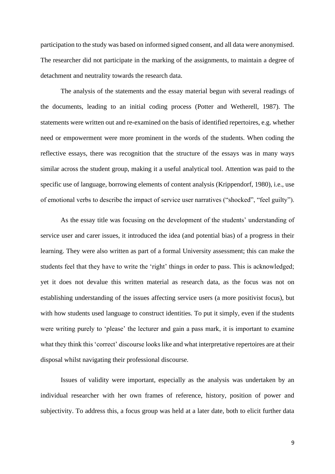participation to the study was based on informed signed consent, and all data were anonymised. The researcher did not participate in the marking of the assignments, to maintain a degree of detachment and neutrality towards the research data.

The analysis of the statements and the essay material begun with several readings of the documents, leading to an initial coding process (Potter and Wetherell, 1987). The statements were written out and re-examined on the basis of identified repertoires, e.g. whether need or empowerment were more prominent in the words of the students. When coding the reflective essays, there was recognition that the structure of the essays was in many ways similar across the student group, making it a useful analytical tool. Attention was paid to the specific use of language, borrowing elements of content analysis (Krippendorf, 1980), i.e., use of emotional verbs to describe the impact of service user narratives ("shocked", "feel guilty").

As the essay title was focusing on the development of the students' understanding of service user and carer issues, it introduced the idea (and potential bias) of a progress in their learning. They were also written as part of a formal University assessment; this can make the students feel that they have to write the 'right' things in order to pass. This is acknowledged; yet it does not devalue this written material as research data, as the focus was not on establishing understanding of the issues affecting service users (a more positivist focus), but with how students used language to construct identities. To put it simply, even if the students were writing purely to 'please' the lecturer and gain a pass mark, it is important to examine what they think this 'correct' discourse looks like and what interpretative repertoires are at their disposal whilst navigating their professional discourse.

Issues of validity were important, especially as the analysis was undertaken by an individual researcher with her own frames of reference, history, position of power and subjectivity. To address this, a focus group was held at a later date, both to elicit further data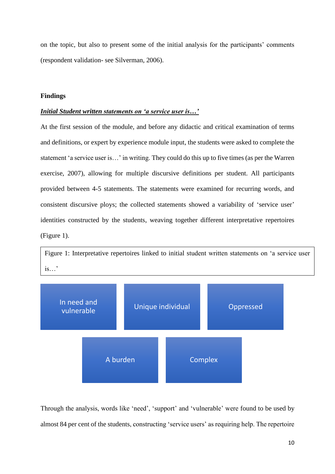on the topic, but also to present some of the initial analysis for the participants' comments (respondent validation- see Silverman, 2006).

#### **Findings**

#### *Initial Student written statements on 'a service user is…'*

At the first session of the module, and before any didactic and critical examination of terms and definitions, or expert by experience module input, the students were asked to complete the statement 'a service user is…' in writing. They could do this up to five times (as per the Warren exercise, 2007), allowing for multiple discursive definitions per student. All participants provided between 4-5 statements. The statements were examined for recurring words, and consistent discursive ploys; the collected statements showed a variability of 'service user' identities constructed by the students, weaving together different interpretative repertoires (Figure 1).





Through the analysis, words like 'need', 'support' and 'vulnerable' were found to be used by almost 84 per cent of the students, constructing 'service users' as requiring help. The repertoire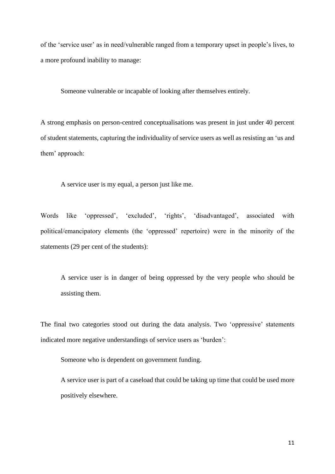of the 'service user' as in need/vulnerable ranged from a temporary upset in people's lives, to a more profound inability to manage:

Someone vulnerable or incapable of looking after themselves entirely.

A strong emphasis on person-centred conceptualisations was present in just under 40 percent of student statements, capturing the individuality of service users as well as resisting an 'us and them' approach:

A service user is my equal, a person just like me.

Words like 'oppressed', 'excluded', 'rights', 'disadvantaged', associated with political/emancipatory elements (the 'oppressed' repertoire) were in the minority of the statements (29 per cent of the students):

A service user is in danger of being oppressed by the very people who should be assisting them.

The final two categories stood out during the data analysis. Two 'oppressive' statements indicated more negative understandings of service users as 'burden':

Someone who is dependent on government funding.

A service user is part of a caseload that could be taking up time that could be used more positively elsewhere.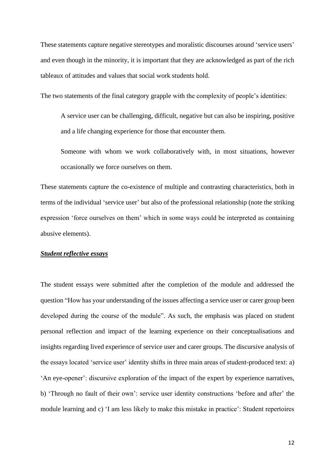These statements capture negative stereotypes and moralistic discourses around 'service users' and even though in the minority, it is important that they are acknowledged as part of the rich tableaux of attitudes and values that social work students hold.

The two statements of the final category grapple with the complexity of people's identities:

A service user can be challenging, difficult, negative but can also be inspiring, positive and a life changing experience for those that encounter them.

Someone with whom we work collaboratively with, in most situations, however occasionally we force ourselves on them.

These statements capture the co-existence of multiple and contrasting characteristics, both in terms of the individual 'service user' but also of the professional relationship (note the striking expression 'force ourselves on them' which in some ways could be interpreted as containing abusive elements).

#### *Student reflective essays*

The student essays were submitted after the completion of the module and addressed the question "How has your understanding of the issues affecting a service user or carer group been developed during the course of the module". As such, the emphasis was placed on student personal reflection and impact of the learning experience on their conceptualisations and insights regarding lived experience of service user and carer groups. The discursive analysis of the essays located 'service user' identity shifts in three main areas of student-produced text: a) 'An eye-opener': discursive exploration of the impact of the expert by experience narratives, b) 'Through no fault of their own': service user identity constructions 'before and after' the module learning and c) 'I am less likely to make this mistake in practice': Student repertoires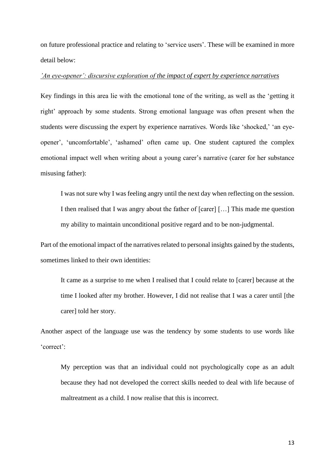on future professional practice and relating to 'service users'. These will be examined in more detail below:

#### *'An eye-opener': discursive exploration of the impact of expert by experience narratives*

Key findings in this area lie with the emotional tone of the writing, as well as the 'getting it right' approach by some students. Strong emotional language was often present when the students were discussing the expert by experience narratives. Words like 'shocked,' 'an eyeopener', 'uncomfortable', 'ashamed' often came up. One student captured the complex emotional impact well when writing about a young carer's narrative (carer for her substance misusing father):

I was not sure why I was feeling angry until the next day when reflecting on the session. I then realised that I was angry about the father of [carer] […] This made me question my ability to maintain unconditional positive regard and to be non-judgmental.

Part of the emotional impact of the narratives related to personal insights gained by the students, sometimes linked to their own identities:

It came as a surprise to me when I realised that I could relate to [carer] because at the time I looked after my brother. However, I did not realise that I was a carer until [the carer] told her story.

Another aspect of the language use was the tendency by some students to use words like 'correct':

My perception was that an individual could not psychologically cope as an adult because they had not developed the correct skills needed to deal with life because of maltreatment as a child. I now realise that this is incorrect.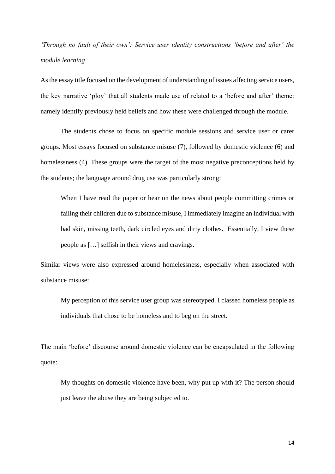## *'Through no fault of their own': Service user identity constructions 'before and after' the module learning*

As the essay title focused on the development of understanding of issues affecting service users, the key narrative 'ploy' that all students made use of related to a 'before and after' theme: namely identify previously held beliefs and how these were challenged through the module.

The students chose to focus on specific module sessions and service user or carer groups. Most essays focused on substance misuse (7), followed by domestic violence (6) and homelessness (4). These groups were the target of the most negative preconceptions held by the students; the language around drug use was particularly strong:

When I have read the paper or hear on the news about people committing crimes or failing their children due to substance misuse, I immediately imagine an individual with bad skin, missing teeth, dark circled eyes and dirty clothes. Essentially, I view these people as […] selfish in their views and cravings.

Similar views were also expressed around homelessness, especially when associated with substance misuse:

My perception of this service user group was stereotyped. I classed homeless people as individuals that chose to be homeless and to beg on the street.

The main 'before' discourse around domestic violence can be encapsulated in the following quote:

My thoughts on domestic violence have been, why put up with it? The person should just leave the abuse they are being subjected to.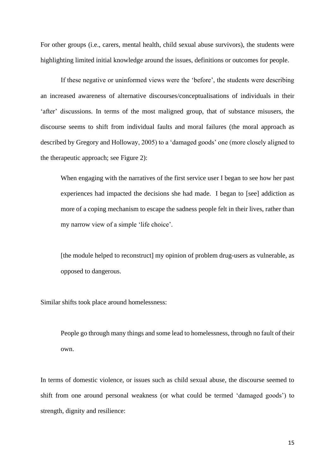For other groups (i.e., carers, mental health, child sexual abuse survivors), the students were highlighting limited initial knowledge around the issues, definitions or outcomes for people.

If these negative or uninformed views were the 'before', the students were describing an increased awareness of alternative discourses/conceptualisations of individuals in their 'after' discussions. In terms of the most maligned group, that of substance misusers, the discourse seems to shift from individual faults and moral failures (the moral approach as described by Gregory and Holloway, 2005) to a 'damaged goods' one (more closely aligned to the therapeutic approach; see Figure 2):

When engaging with the narratives of the first service user I began to see how her past experiences had impacted the decisions she had made. I began to [see] addiction as more of a coping mechanism to escape the sadness people felt in their lives, rather than my narrow view of a simple 'life choice'.

[the module helped to reconstruct] my opinion of problem drug-users as vulnerable, as opposed to dangerous.

Similar shifts took place around homelessness:

People go through many things and some lead to homelessness, through no fault of their own.

In terms of domestic violence, or issues such as child sexual abuse, the discourse seemed to shift from one around personal weakness (or what could be termed 'damaged goods') to strength, dignity and resilience: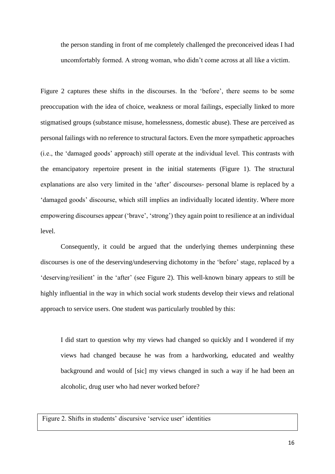the person standing in front of me completely challenged the preconceived ideas I had uncomfortably formed. A strong woman, who didn't come across at all like a victim.

Figure 2 captures these shifts in the discourses. In the 'before', there seems to be some preoccupation with the idea of choice, weakness or moral failings, especially linked to more stigmatised groups (substance misuse, homelessness, domestic abuse). These are perceived as personal failings with no reference to structural factors. Even the more sympathetic approaches (i.e., the 'damaged goods' approach) still operate at the individual level. This contrasts with the emancipatory repertoire present in the initial statements (Figure 1). The structural explanations are also very limited in the 'after' discourses- personal blame is replaced by a 'damaged goods' discourse, which still implies an individually located identity. Where more empowering discourses appear ('brave', 'strong') they again point to resilience at an individual level.

Consequently, it could be argued that the underlying themes underpinning these discourses is one of the deserving/undeserving dichotomy in the 'before' stage, replaced by a 'deserving/resilient' in the 'after' (see Figure 2). This well-known binary appears to still be highly influential in the way in which social work students develop their views and relational approach to service users. One student was particularly troubled by this:

I did start to question why my views had changed so quickly and I wondered if my views had changed because he was from a hardworking, educated and wealthy background and would of [sic] my views changed in such a way if he had been an alcoholic, drug user who had never worked before?

Figure 2. Shifts in students' discursive 'service user' identities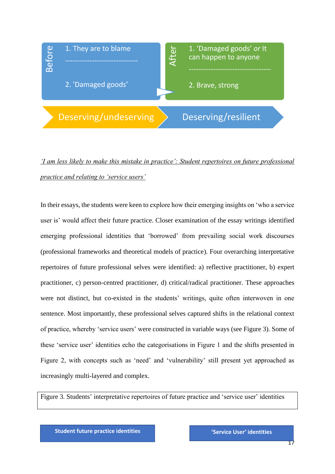

## *'I am less likely to make this mistake in practice': Student repertoires on future professional practice and relating to 'service users'*

In their essays, the students were keen to explore how their emerging insights on 'who a service user is' would affect their future practice. Closer examination of the essay writings identified emerging professional identities that 'borrowed' from prevailing social work discourses (professional frameworks and theoretical models of practice). Four overarching interpretative repertoires of future professional selves were identified: a) reflective practitioner, b) expert practitioner, c) person-centred practitioner, d) critical/radical practitioner. These approaches were not distinct, but co-existed in the students' writings, quite often interwoven in one sentence. Most importantly, these professional selves captured shifts in the relational context of practice, whereby 'service users' were constructed in variable ways (see Figure 3). Some of these 'service user' identities echo the categorisations in Figure 1 and the shifts presented in Figure 2, with concepts such as 'need' and 'vulnerability' still present yet approached as increasingly multi-layered and complex. Example 1. They are to blame<br>
2. 'Damaged goods'<br>
2. Brave, strong<br>
2. Brave, strong<br>
2. Brave, strong<br>
2. Brave, strong<br>
2. Brave, strong<br>
2. Brave, strong<br>
2. Brave, strong<br>
1. Their example of social conditions were bee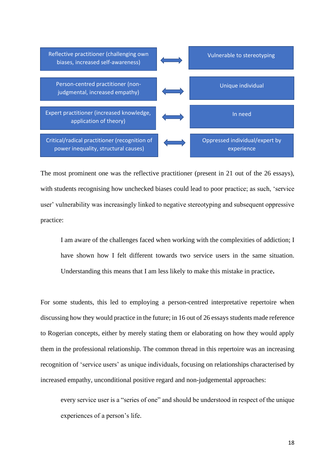

The most prominent one was the reflective practitioner (present in 21 out of the 26 essays), with students recognising how unchecked biases could lead to poor practice; as such, 'service user' vulnerability was increasingly linked to negative stereotyping and subsequent oppressive practice:

I am aware of the challenges faced when working with the complexities of addiction; I have shown how I felt different towards two service users in the same situation. Understanding this means that I am less likely to make this mistake in practice**.**

For some students, this led to employing a person-centred interpretative repertoire when discussing how they would practice in the future; in 16 out of 26 essays students made reference to Rogerian concepts, either by merely stating them or elaborating on how they would apply them in the professional relationship. The common thread in this repertoire was an increasing recognition of 'service users' as unique individuals, focusing on relationships characterised by increased empathy, unconditional positive regard and non-judgemental approaches:

every service user is a "series of one" and should be understood in respect of the unique experiences of a person's life.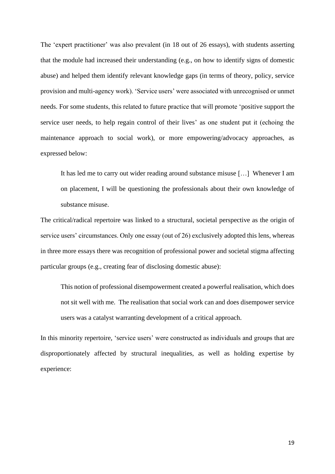The 'expert practitioner' was also prevalent (in 18 out of 26 essays), with students asserting that the module had increased their understanding (e.g., on how to identify signs of domestic abuse) and helped them identify relevant knowledge gaps (in terms of theory, policy, service provision and multi-agency work). 'Service users' were associated with unrecognised or unmet needs. For some students, this related to future practice that will promote 'positive support the service user needs, to help regain control of their lives' as one student put it (echoing the maintenance approach to social work), or more empowering/advocacy approaches, as expressed below:

It has led me to carry out wider reading around substance misuse […] Whenever I am on placement, I will be questioning the professionals about their own knowledge of substance misuse.

The critical/radical repertoire was linked to a structural, societal perspective as the origin of service users' circumstances. Only one essay (out of 26) exclusively adopted this lens, whereas in three more essays there was recognition of professional power and societal stigma affecting particular groups (e.g., creating fear of disclosing domestic abuse):

This notion of professional disempowerment created a powerful realisation, which does not sit well with me. The realisation that social work can and does disempower service users was a catalyst warranting development of a critical approach.

In this minority repertoire, 'service users' were constructed as individuals and groups that are disproportionately affected by structural inequalities, as well as holding expertise by experience: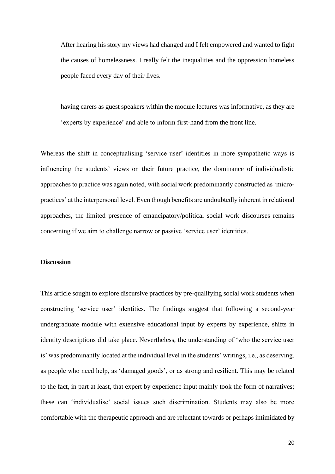After hearing his story my views had changed and I felt empowered and wanted to fight the causes of homelessness. I really felt the inequalities and the oppression homeless people faced every day of their lives.

having carers as guest speakers within the module lectures was informative, as they are 'experts by experience' and able to inform first-hand from the front line.

Whereas the shift in conceptualising 'service user' identities in more sympathetic ways is influencing the students' views on their future practice, the dominance of individualistic approaches to practice was again noted, with social work predominantly constructed as 'micropractices' at the interpersonal level. Even though benefits are undoubtedly inherent in relational approaches, the limited presence of emancipatory/political social work discourses remains concerning if we aim to challenge narrow or passive 'service user' identities.

#### **Discussion**

This article sought to explore discursive practices by pre-qualifying social work students when constructing 'service user' identities. The findings suggest that following a second-year undergraduate module with extensive educational input by experts by experience, shifts in identity descriptions did take place. Nevertheless, the understanding of 'who the service user is' was predominantly located at the individual level in the students' writings, i.e., as deserving, as people who need help, as 'damaged goods', or as strong and resilient. This may be related to the fact, in part at least, that expert by experience input mainly took the form of narratives; these can 'individualise' social issues such discrimination. Students may also be more comfortable with the therapeutic approach and are reluctant towards or perhaps intimidated by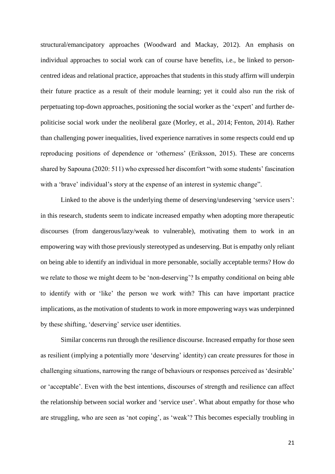structural/emancipatory approaches (Woodward and Mackay, 2012). An emphasis on individual approaches to social work can of course have benefits, i.e., be linked to personcentred ideas and relational practice, approaches that students in this study affirm will underpin their future practice as a result of their module learning; yet it could also run the risk of perpetuating top-down approaches, positioning the social worker as the 'expert' and further depoliticise social work under the neoliberal gaze (Morley, et al., 2014; Fenton, 2014). Rather than challenging power inequalities, lived experience narratives in some respects could end up reproducing positions of dependence or 'otherness' (Eriksson, 2015). These are concerns shared by Sapouna (2020: 511) who expressed her discomfort "with some students' fascination with a 'brave' individual's story at the expense of an interest in systemic change".

Linked to the above is the underlying theme of deserving/undeserving 'service users': in this research, students seem to indicate increased empathy when adopting more therapeutic discourses (from dangerous/lazy/weak to vulnerable), motivating them to work in an empowering way with those previously stereotyped as undeserving. But is empathy only reliant on being able to identify an individual in more personable, socially acceptable terms? How do we relate to those we might deem to be 'non-deserving'? Is empathy conditional on being able to identify with or 'like' the person we work with? This can have important practice implications, as the motivation of students to work in more empowering ways was underpinned by these shifting, 'deserving' service user identities.

Similar concerns run through the resilience discourse. Increased empathy for those seen as resilient (implying a potentially more 'deserving' identity) can create pressures for those in challenging situations, narrowing the range of behaviours or responses perceived as 'desirable' or 'acceptable'. Even with the best intentions, discourses of strength and resilience can affect the relationship between social worker and 'service user'. What about empathy for those who are struggling, who are seen as 'not coping', as 'weak'? This becomes especially troubling in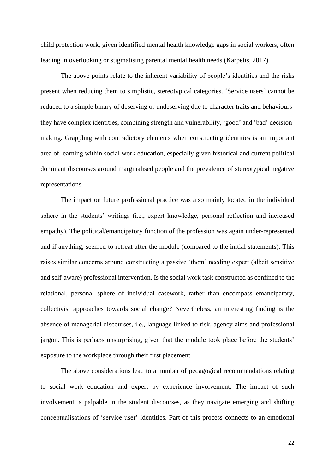child protection work, given identified mental health knowledge gaps in social workers, often leading in overlooking or stigmatising parental mental health needs (Karpetis, 2017).

The above points relate to the inherent variability of people's identities and the risks present when reducing them to simplistic, stereotypical categories. 'Service users' cannot be reduced to a simple binary of deserving or undeserving due to character traits and behavioursthey have complex identities, combining strength and vulnerability, 'good' and 'bad' decisionmaking. Grappling with contradictory elements when constructing identities is an important area of learning within social work education, especially given historical and current political dominant discourses around marginalised people and the prevalence of stereotypical negative representations.

The impact on future professional practice was also mainly located in the individual sphere in the students' writings (i.e., expert knowledge, personal reflection and increased empathy). The political/emancipatory function of the profession was again under-represented and if anything, seemed to retreat after the module (compared to the initial statements). This raises similar concerns around constructing a passive 'them' needing expert (albeit sensitive and self-aware) professional intervention. Is the social work task constructed as confined to the relational, personal sphere of individual casework, rather than encompass emancipatory, collectivist approaches towards social change? Nevertheless, an interesting finding is the absence of managerial discourses, i.e., language linked to risk, agency aims and professional jargon. This is perhaps unsurprising, given that the module took place before the students' exposure to the workplace through their first placement.

The above considerations lead to a number of pedagogical recommendations relating to social work education and expert by experience involvement. The impact of such involvement is palpable in the student discourses, as they navigate emerging and shifting conceptualisations of 'service user' identities. Part of this process connects to an emotional

22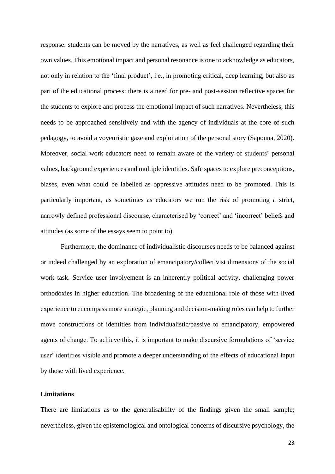response: students can be moved by the narratives, as well as feel challenged regarding their own values. This emotional impact and personal resonance is one to acknowledge as educators, not only in relation to the 'final product', i.e., in promoting critical, deep learning, but also as part of the educational process: there is a need for pre- and post-session reflective spaces for the students to explore and process the emotional impact of such narratives. Nevertheless, this needs to be approached sensitively and with the agency of individuals at the core of such pedagogy, to avoid a voyeuristic gaze and exploitation of the personal story (Sapouna, 2020). Moreover, social work educators need to remain aware of the variety of students' personal values, background experiences and multiple identities. Safe spaces to explore preconceptions, biases, even what could be labelled as oppressive attitudes need to be promoted. This is particularly important, as sometimes as educators we run the risk of promoting a strict, narrowly defined professional discourse, characterised by 'correct' and 'incorrect' beliefs and attitudes (as some of the essays seem to point to).

Furthermore, the dominance of individualistic discourses needs to be balanced against or indeed challenged by an exploration of emancipatory/collectivist dimensions of the social work task. Service user involvement is an inherently political activity, challenging power orthodoxies in higher education. The broadening of the educational role of those with lived experience to encompass more strategic, planning and decision-making roles can help to further move constructions of identities from individualistic/passive to emancipatory, empowered agents of change. To achieve this, it is important to make discursive formulations of 'service user' identities visible and promote a deeper understanding of the effects of educational input by those with lived experience.

#### **Limitations**

There are limitations as to the generalisability of the findings given the small sample; nevertheless, given the epistemological and ontological concerns of discursive psychology, the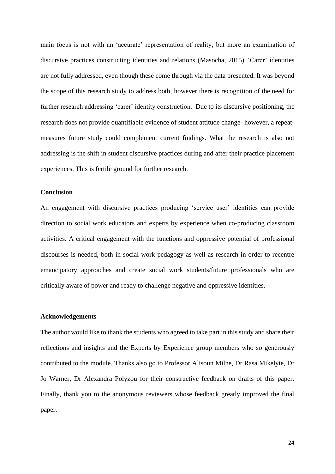main focus is not with an 'accurate' representation of reality, but more an examination of discursive practices constructing identities and relations (Masocha, 2015). 'Carer' identities are not fully addressed, even though these come through via the data presented. It was beyond the scope of this research study to address both, however there is recognition of the need for further research addressing 'carer' identity construction. Due to its discursive positioning, the research does not provide quantifiable evidence of student attitude change- however, a repeatmeasures future study could complement current findings. What the research is also not addressing is the shift in student discursive practices during and after their practice placement experiences. This is fertile ground for further research.

#### **Conclusion**

An engagement with discursive practices producing 'service user' identities can provide direction to social work educators and experts by experience when co-producing classroom activities. A critical engagement with the functions and oppressive potential of professional discourses is needed, both in social work pedagogy as well as research in order to recentre emancipatory approaches and create social work students/future professionals who are critically aware of power and ready to challenge negative and oppressive identities.

#### **Acknowledgements**

The author would like to thank the students who agreed to take part in this study and share their reflections and insights and the Experts by Experience group members who so generously contributed to the module. Thanks also go to Professor Alisoun Milne, Dr Rasa Mikelyte, Dr Jo Warner, Dr Alexandra Polyzou for their constructive feedback on drafts of this paper. Finally, thank you to the anonymous reviewers whose feedback greatly improved the final paper.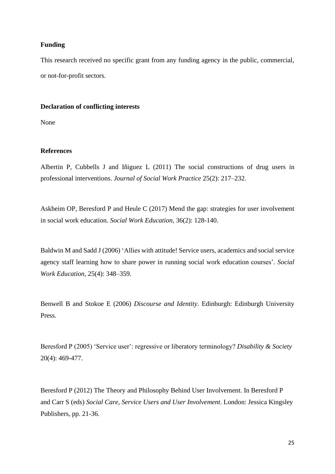#### **Funding**

This research received no specific grant from any funding agency in the public, commercial, or not-for-profit sectors.

#### **Declaration of conflicting interests**

None

#### **References**

Albertin P, Cubbells J and Iñiguez L (2011) The social constructions of drug users in professional interventions. *Journal of Social Work Practice* 25(2): 217–232.

Askheim OP, Beresford P and Heule C (2017) Mend the gap: strategies for user involvement in social work education. *Social Work Education*, 36(2): 128-140.

Baldwin M and Sadd J (2006) 'Allies with attitude! Service users, academics and social service agency staff learning how to share power in running social work education courses'. *Social Work Education*, 25(4): 348–359.

Benwell B and Stokoe E (2006) *Discourse and Identity*. Edinburgh: Edinburgh University Press.

Beresford P (2005) 'Service user': regressive or liberatory terminology? *Disability & Society* 20(4): 469-477.

Beresford P (2012) The Theory and Philosophy Behind User Involvement. In Beresford P and Carr S (eds) *Social Care, Service Users and User Involvement*. London: Jessica Kingsley Publishers, pp. 21-36.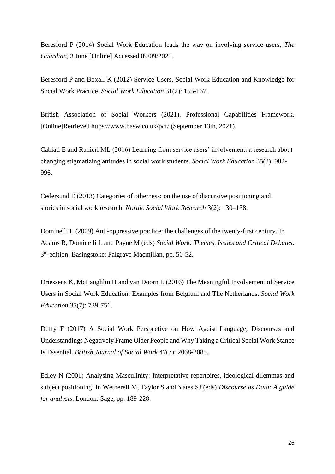Beresford P (2014) Social Work Education leads the way on involving service users, *The Guardian,* 3 June [Online] Accessed 09/09/2021.

Beresford P and Boxall K (2012) Service Users, Social Work Education and Knowledge for Social Work Practice. *Social Work Education* 31(2): 155-167.

British Association of Social Workers (2021). Professional Capabilities Framework. [Online]Retrieved https://www.basw.co.uk/pcf/ (September 13th, 2021).

Cabiati E and Ranieri ML (2016) Learning from service users' involvement: a research about changing stigmatizing attitudes in social work students. *Social Work Education* 35(8): 982- 996.

Cedersund E (2013) Categories of otherness: on the use of discursive positioning and stories in social work research. *Nordic Social Work Research* 3(2): 130–138.

Dominelli L (2009) Anti-oppressive practice: the challenges of the twenty-first century. In Adams R, Dominelli L and Payne M (eds) *Social Work: Themes, Issues and Critical Debates*. 3<sup>rd</sup> edition. Basingstoke: Palgrave Macmillan, pp. 50-52.

Driessens K, McLaughlin H and van Doorn L (2016) The Meaningful Involvement of Service Users in Social Work Education: Examples from Belgium and The Netherlands. *Social Work Education* 35(7): 739-751.

Duffy F (2017) A Social Work Perspective on How Ageist Language, Discourses and Understandings Negatively Frame Older People and Why Taking a Critical Social Work Stance Is Essential. *British Journal of Social Work* 47(7): 2068-2085.

Edley N (2001) Analysing Masculinity: Interpretative repertoires, ideological dilemmas and subject positioning. In Wetherell M, Taylor S and Yates SJ (eds) *Discourse as Data: A guide for analysis*. London: Sage, pp. 189-228.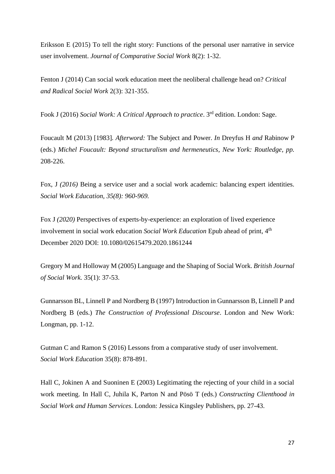Eriksson E (2015) To tell the right story: Functions of the personal user narrative in service user involvement. *Journal of Comparative Social Work* 8(2): 1-32.

Fenton J (2014) Can social work education meet the neoliberal challenge head on? *Critical and Radical Social Work* 2(3): 321-355.

Fook J (2016) Social Work: A Critical Approach to practice. 3<sup>rd</sup> edition. London: Sage.

Foucault M (2013) [1983]*. Afterword:* The Subject and Power. *In* Dreyfus H *and* Rabinow P (eds.) *Michel Foucault: Beyond structuralism and hermeneutics, New York: Routledge, pp.*  208-226.

Fox, J (2016) Being a service user and a social work academic: balancing expert identities. *Social Work Education, 35(8): 960-969.* 

Fox J *(2020)* Perspectives of experts-by-experience: an exploration of lived experience involvement in social work education *Social Work Education* Epub ahead of print, 4 th December 2020 DOI: 10.1080/02615479.2020.1861244

Gregory M and Holloway M (2005) Language and the Shaping of Social Work. *British Journal of Social Work.* 35(1): 37-53.

Gunnarsson BL, Linnell P and Nordberg B (1997) Introduction in Gunnarsson B, Linnell P and Nordberg B (eds.) *The Construction of Professional Discourse*. London and New Work: Longman, pp. 1-12.

Gutman C and Ramon S (2016) Lessons from a comparative study of user involvement. *Social Work Education* 35(8): 878-891.

Hall C, Jokinen A and Suoninen E (2003) Legitimating the rejecting of your child in a social work meeting. In Hall C, Juhila K, Parton N and Pösö T (eds.) *Constructing Clienthood in Social Work and Human Services*. London: Jessica Kingsley Publishers, pp. 27-43.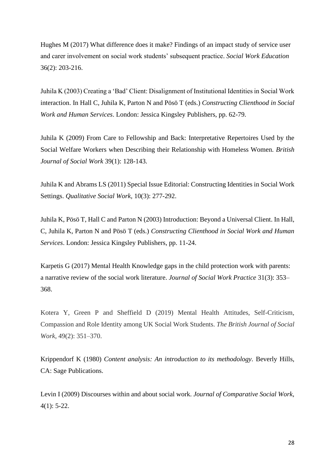Hughes M (2017) What difference does it make? Findings of an impact study of service user and carer involvement on social work students' subsequent practice. *Social Work Education* 36(2): 203-216.

Juhila K (2003) Creating a 'Bad' Client: Disalignment of Institutional Identities in Social Work interaction. In Hall C, Juhila K, Parton N and Pösö T (eds.) *Constructing Clienthood in Social Work and Human Services*. London: Jessica Kingsley Publishers, pp. 62-79.

Juhila K (2009) From Care to Fellowship and Back: Interpretative Repertoires Used by the Social Welfare Workers when Describing their Relationship with Homeless Women. *British Journal of Social Work* 39(1): 128-143.

Juhila K and Abrams LS (2011) Special Issue Editorial: Constructing Identities in Social Work Settings. *Qualitative Social Work,* 10(3): 277-292.

Juhila K, Pösö T, Hall C and Parton N (2003) Introduction: Beyond a Universal Client. In Hall, C, Juhila K, Parton N and Pösö T (eds.) *Constructing Clienthood in Social Work and Human Services*. London: Jessica Kingsley Publishers, pp. 11-24.

Karpetis G (2017) Mental Health Knowledge gaps in the child protection work with parents: a narrative review of the social work literature. *Journal of Social Work Practice* 31(3): 353– 368.

Kotera Y, Green P and Sheffield D (2019) Mental Health Attitudes, Self-Criticism, Compassion and Role Identity among UK Social Work Students. *The British Journal of Social Work*, 49(2): 351–370.

Krippendorf K (1980) *Content analysis: An introduction to its methodology.* Beverly Hills, CA: Sage Publications.

Levin I (2009) Discourses within and about social work. *Journal of Comparative Social Work*, 4(1): 5-22.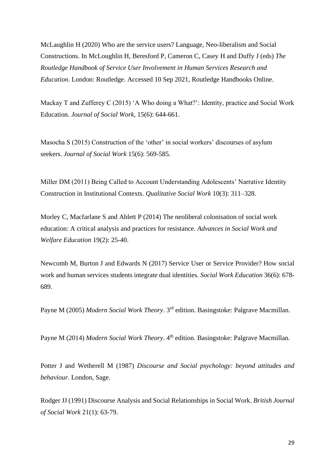McLaughlin H (2020) Who are the service users? Language, Neo-liberalism and Social Constructions. In McLoughlin H, Beresford P, Cameron C, Casey H and Duffy J (eds) *The Routledge Handbook of Service User Involvement in Human Services Research and Education*. London: Routledge. Accessed 10 Sep 2021, Routledge Handbooks Online.

Mackay T and Zufferey C (2015) 'A Who doing a What?': Identity, practice and Social Work Education. *Journal of Social Work*, 15(6): 644-661.

Masocha S (2015) Construction of the 'other' in social workers' discourses of asylum seekers. *Journal of Social Work* 15(6): 569-585.

Miller DM (2011) Being Called to Account Understanding Adolescents' Narrative Identity Construction in Institutional Contexts. *Qualitative Social Work* 10(3): 311–328.

Morley C, Macfarlane S and Ablett P (2014) The neoliberal colonisation of social work education: A critical analysis and practices for resistance. *Advances in Social Work and Welfare Education* 19(2): 25-40.

Newcomb M, Burton J and Edwards N (2017) Service User or Service Provider? How social work and human services students integrate dual identities. *Social Work Education* 36(6): 678- 689.

Payne M (2005) *Modern Social Work Theory*. 3rd edition. Basingstoke: Palgrave Macmillan.

Payne M (2014) *Modern Social Work Theory*. 4<sup>th</sup> edition. Basingstoke: Palgrave Macmillan.

Potter J and Wetherell M (1987) *Discourse and Social psychology: beyond attitudes and behaviour*. London, Sage.

Rodger JJ (1991) Discourse Analysis and Social Relationships in Social Work. *British Journal of Social Work* 21(1): 63-79.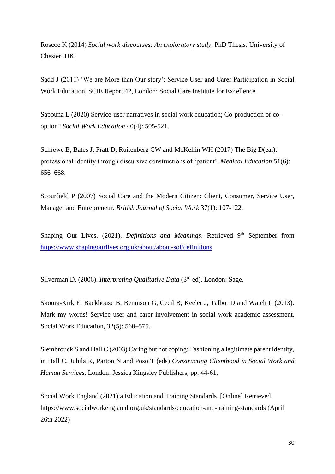Roscoe K (2014) *Social work discourses: An exploratory study*. PhD Thesis. University of Chester, UK.

Sadd J (2011) 'We are More than Our story': Service User and Carer Participation in Social Work Education, SCIE Report 42, London: Social Care Institute for Excellence.

Sapouna L (2020) Service-user narratives in social work education; Co-production or cooption? *Social Work Education* 40(4): 505-521.

Schrewe B, Bates J, Pratt D, Ruitenberg CW and McKellin WH (2017) The Big D(eal): professional identity through discursive constructions of 'patient'. *Medical Education* 51(6): 656–668.

Scourfield P (2007) Social Care and the Modern Citizen: Client, Consumer, Service User, Manager and Entrepreneur. *British Journal of Social Work* 37(1): 107-122.

Shaping Our Lives. (2021). *Definitions and Meanings*. Retrieved 9<sup>th</sup> September from <https://www.shapingourlives.org.uk/about/about-sol/definitions>

Silverman D. (2006). *Interpreting Qualitative Data* (3<sup>rd</sup> ed). London: Sage.

Skoura-Kirk E, Backhouse B, Bennison G, Cecil B, Keeler J, Talbot D and Watch L (2013). Mark my words! Service user and carer involvement in social work academic assessment. Social Work Education, 32(5): 560–575.

Slembrouck S and Hall C (2003) Caring but not coping: Fashioning a legitimate parent identity, in Hall C, Juhila K, Parton N and Pösö T (eds) *Constructing Clienthood in Social Work and Human Services*. London: Jessica Kingsley Publishers, pp. 44-61.

Social Work England (2021) a Education and Training Standards. [Online] Retrieved https://www.socialworkenglan d.org.uk/standards/education-and-training-standards (April 26th 2022)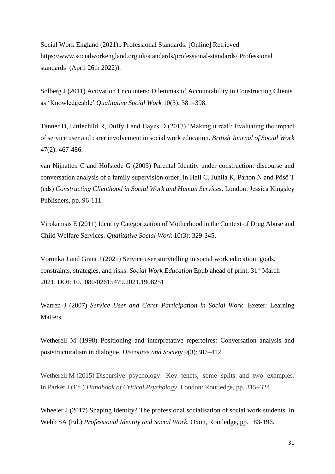Social Work England (2021)b Professional Standards. [Online] Retrieved https://www.socialworkengland.org.uk/standards/professional-standards/ Professional standards (April 26th 2022)).

Solberg J (2011) Activation Encounters: Dilemmas of Accountability in Constructing Clients as 'Knowledgeable' *Qualitative Social Work* 10(3): 381–398.

Tanner D, Littlechild R, Duffy J and Hayes D (2017) 'Making it real': Evaluating the impact of service user and carer involvement in social work education. *British Journal of Social Work*  47(2): 467-486.

van Nijnatten C and Hofstede G (2003) Parental Identity under construction: discourse and conversation analysis of a family supervision order, in Hall C, Juhila K, Parton N and Pösö T (eds) *Constructing Clienthood in Social Work and Human Services*. London: Jessica Kingsley Publishers, pp. 96-111.

Virokannas E (2011) Identity Categorization of Motherhood in the Context of Drug Abuse and Child Welfare Services. *Qualitative Social Work* 10(3): 329-345.

Voronka J and Grant J (2021) Service user storytelling in social work education: goals, constraints, strategies, and risks. *Social Work Education* Epub ahead of print, 31<sup>st</sup> March 2021. DOI: 10.1080/02615479.2021.1908251

Warren J (2007) *Service User and Carer Participation in Social Work*. Exeter: Learning Matters.

Wetherell M (1998) Positioning and interpretative repertoires: Conversation analysis and poststructuralism in dialogue. *Discourse and Society* 9(3):387–412.

Wetherell M (2015) Discursive psychology: Key tenets, some splits and two examples. In Parker I (Ed.) *Handbook of Critical Psychology*. London: Routledge, pp. 315–324.

Wheeler J (2017) Shaping Identity? The professional socialisation of social work students. In Webb SA (Ed.) *Professional Identity and Social Work.* Oxon, Routledge, pp. 183-196.